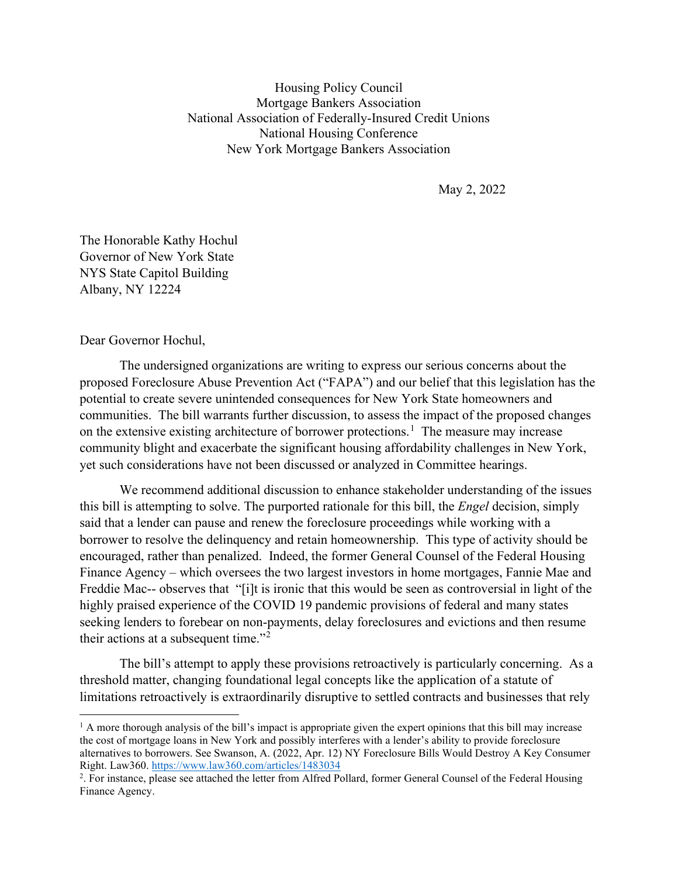Housing Policy Council Mortgage Bankers Association National Association of Federally-Insured Credit Unions National Housing Conference New York Mortgage Bankers Association

May 2, 2022

The Honorable Kathy Hochul Governor of New York State NYS State Capitol Building Albany, NY 12224

Dear Governor Hochul,

The undersigned organizations are writing to express our serious concerns about the proposed Foreclosure Abuse Prevention Act ("FAPA") and our belief that this legislation has the potential to create severe unintended consequences for New York State homeowners and communities. The bill warrants further discussion, to assess the impact of the proposed changes on the extensive existing architecture of borrower protections.<sup>[1](#page-0-0)</sup> The measure may increase community blight and exacerbate the significant housing affordability challenges in New York, yet such considerations have not been discussed or analyzed in Committee hearings.

We recommend additional discussion to enhance stakeholder understanding of the issues this bill is attempting to solve. The purported rationale for this bill, the *Engel* decision, simply said that a lender can pause and renew the foreclosure proceedings while working with a borrower to resolve the delinquency and retain homeownership. This type of activity should be encouraged, rather than penalized. Indeed, the former General Counsel of the Federal Housing Finance Agency – which oversees the two largest investors in home mortgages, Fannie Mae and Freddie Mac-- observes that "[i]t is ironic that this would be seen as controversial in light of the highly praised experience of the COVID 19 pandemic provisions of federal and many states seeking lenders to forebear on non-payments, delay foreclosures and evictions and then resume their actions at a subsequent time."[2](#page-0-1)

The bill's attempt to apply these provisions retroactively is particularly concerning. As a threshold matter, changing foundational legal concepts like the application of a statute of limitations retroactively is extraordinarily disruptive to settled contracts and businesses that rely

<span id="page-0-0"></span> $<sup>1</sup>$  A more thorough analysis of the bill's impact is appropriate given the expert opinions that this bill may increase</sup> the cost of mortgage loans in New York and possibly interferes with a lender's ability to provide foreclosure alternatives to borrowers. See Swanson, A. (2022, Apr. 12) NY Foreclosure Bills Would Destroy A Key Consumer Right. Law360.<https://www.law360.com/articles/1483034>

<span id="page-0-1"></span><sup>&</sup>lt;sup>2</sup>. For instance, please see attached the letter from Alfred Pollard, former General Counsel of the Federal Housing Finance Agency.